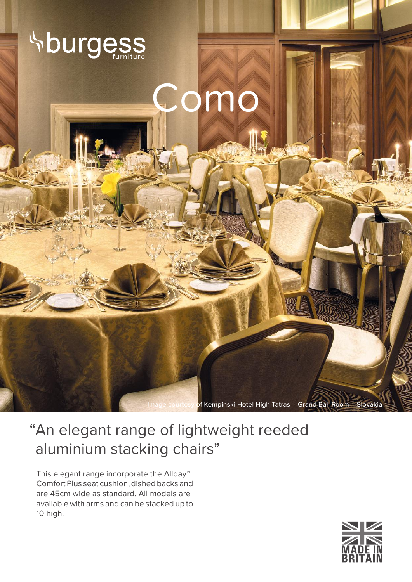

## "An elegant range of lightweight reeded aluminium stacking chairs"

This elegant range incorporate the Allday™ Comfort Plus seat cushion, dished backs and are 45cm wide as standard. All models are available with arms and can be stacked up to 10 high.